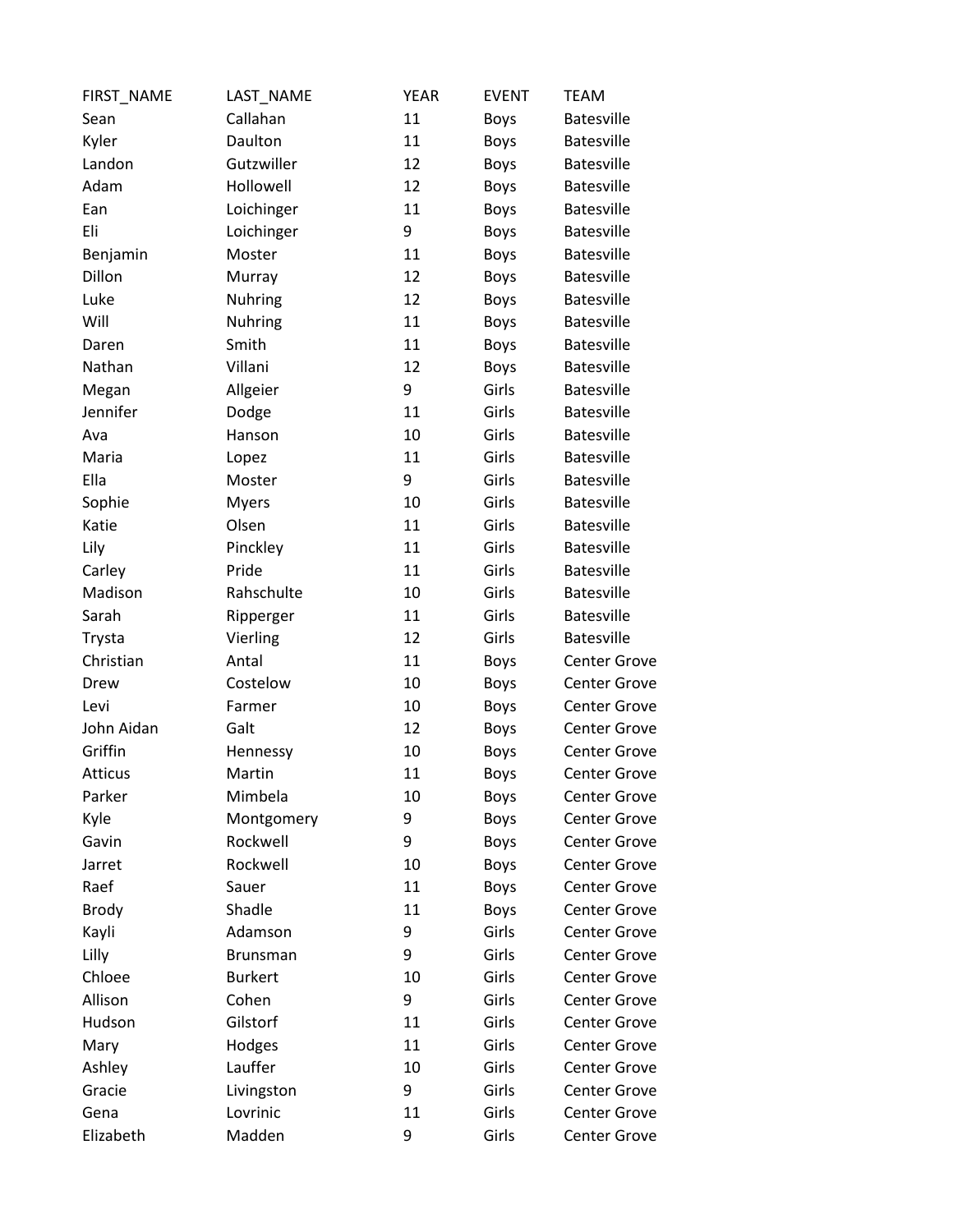| FIRST_NAME     | LAST_NAME       | <b>YEAR</b> | <b>EVENT</b> | <b>TEAM</b>         |
|----------------|-----------------|-------------|--------------|---------------------|
| Sean           | Callahan        | 11          | <b>Boys</b>  | <b>Batesville</b>   |
| Kyler          | Daulton         | 11          | <b>Boys</b>  | <b>Batesville</b>   |
| Landon         | Gutzwiller      | 12          | <b>Boys</b>  | <b>Batesville</b>   |
| Adam           | Hollowell       | 12          | <b>Boys</b>  | <b>Batesville</b>   |
| Ean            | Loichinger      | 11          | Boys         | <b>Batesville</b>   |
| Eli            | Loichinger      | 9           | <b>Boys</b>  | <b>Batesville</b>   |
| Benjamin       | Moster          | 11          | <b>Boys</b>  | <b>Batesville</b>   |
| Dillon         | Murray          | 12          | <b>Boys</b>  | <b>Batesville</b>   |
| Luke           | Nuhring         | 12          | <b>Boys</b>  | <b>Batesville</b>   |
| Will           | Nuhring         | 11          | Boys         | <b>Batesville</b>   |
| Daren          | Smith           | 11          | <b>Boys</b>  | <b>Batesville</b>   |
| Nathan         | Villani         | 12          | <b>Boys</b>  | <b>Batesville</b>   |
| Megan          | Allgeier        | 9           | Girls        | <b>Batesville</b>   |
| Jennifer       | Dodge           | 11          | Girls        | <b>Batesville</b>   |
| Ava            | Hanson          | 10          | Girls        | <b>Batesville</b>   |
| Maria          | Lopez           | 11          | Girls        | <b>Batesville</b>   |
| Ella           | Moster          | 9           | Girls        | <b>Batesville</b>   |
| Sophie         | <b>Myers</b>    | 10          | Girls        | <b>Batesville</b>   |
| Katie          | Olsen           | 11          | Girls        | <b>Batesville</b>   |
| Lily           | Pinckley        | 11          | Girls        | <b>Batesville</b>   |
| Carley         | Pride           | 11          | Girls        | <b>Batesville</b>   |
| Madison        | Rahschulte      | 10          | Girls        | <b>Batesville</b>   |
| Sarah          | Ripperger       | 11          | Girls        | <b>Batesville</b>   |
| Trysta         | Vierling        | 12          | Girls        | <b>Batesville</b>   |
| Christian      | Antal           | 11          | <b>Boys</b>  | <b>Center Grove</b> |
| Drew           | Costelow        | 10          | <b>Boys</b>  | <b>Center Grove</b> |
| Levi           | Farmer          | 10          | <b>Boys</b>  | <b>Center Grove</b> |
| John Aidan     | Galt            | 12          | <b>Boys</b>  | <b>Center Grove</b> |
| Griffin        | Hennessy        | 10          | Boys         | <b>Center Grove</b> |
| <b>Atticus</b> | Martin          | 11          | <b>Boys</b>  | <b>Center Grove</b> |
| Parker         | Mimbela         | 10          | <b>Boys</b>  | <b>Center Grove</b> |
| Kyle           | Montgomery      | 9           | <b>Boys</b>  | <b>Center Grove</b> |
| Gavin          | Rockwell        | 9           | <b>Boys</b>  | <b>Center Grove</b> |
| Jarret         | Rockwell        | 10          | <b>Boys</b>  | <b>Center Grove</b> |
| Raef           | Sauer           | 11          | <b>Boys</b>  | <b>Center Grove</b> |
| <b>Brody</b>   | Shadle          | 11          | <b>Boys</b>  | <b>Center Grove</b> |
| Kayli          | Adamson         | 9           | Girls        | <b>Center Grove</b> |
| Lilly          | <b>Brunsman</b> | 9           | Girls        | <b>Center Grove</b> |
| Chloee         | <b>Burkert</b>  | 10          | Girls        | <b>Center Grove</b> |
| Allison        | Cohen           | 9           | Girls        | <b>Center Grove</b> |
| Hudson         | Gilstorf        | 11          | Girls        | <b>Center Grove</b> |
| Mary           | Hodges          | 11          | Girls        | <b>Center Grove</b> |
| Ashley         | Lauffer         | 10          | Girls        | <b>Center Grove</b> |
| Gracie         | Livingston      | 9           | Girls        | <b>Center Grove</b> |
| Gena           | Lovrinic        | 11          | Girls        | <b>Center Grove</b> |
| Elizabeth      | Madden          | 9           | Girls        | <b>Center Grove</b> |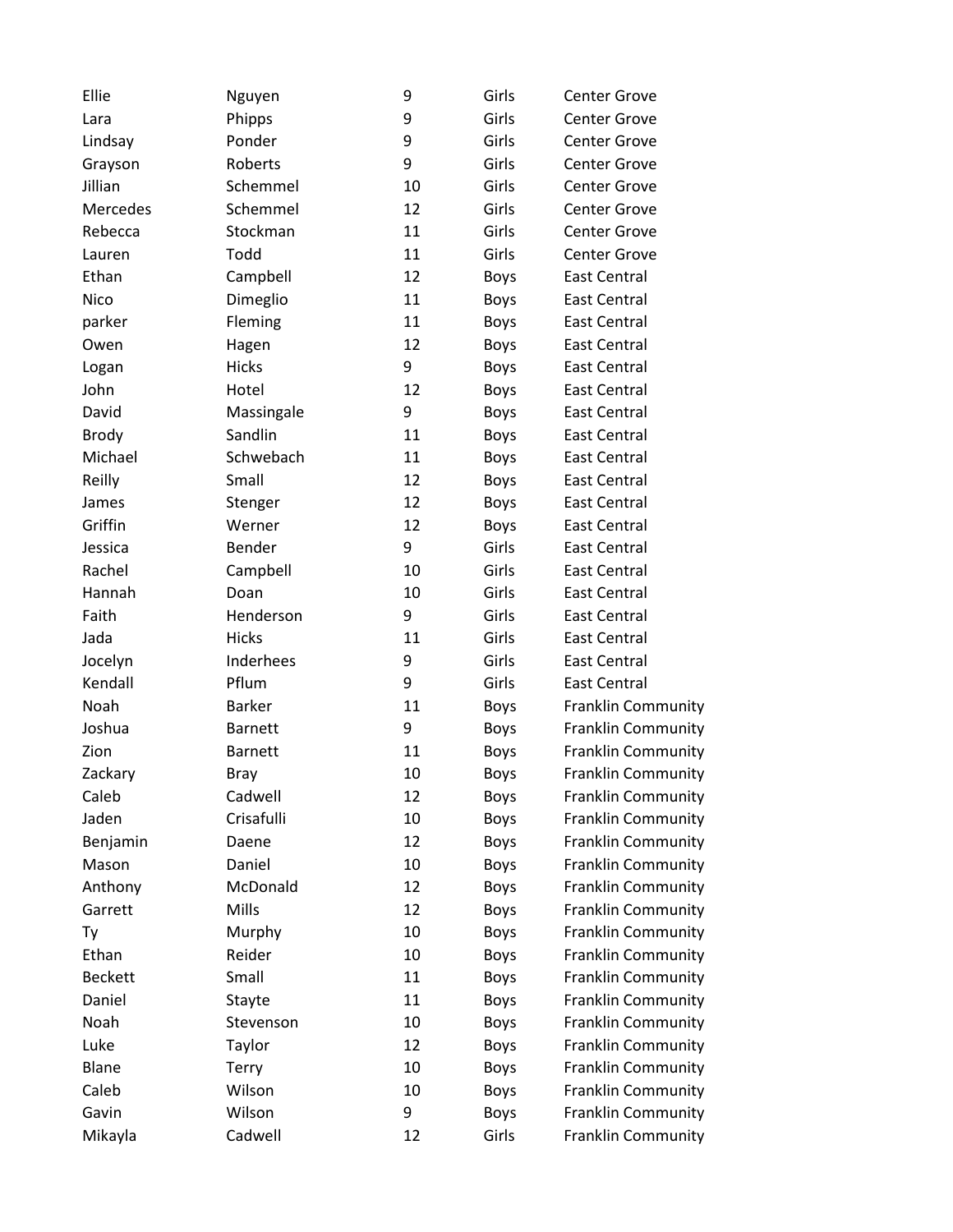| Ellie          | Nguyen         | 9  | Girls       | <b>Center Grove</b>       |
|----------------|----------------|----|-------------|---------------------------|
| Lara           | Phipps         | 9  | Girls       | <b>Center Grove</b>       |
| Lindsay        | Ponder         | 9  | Girls       | <b>Center Grove</b>       |
| Grayson        | Roberts        | 9  | Girls       | Center Grove              |
| Jillian        | Schemmel       | 10 | Girls       | <b>Center Grove</b>       |
| Mercedes       | Schemmel       | 12 | Girls       | <b>Center Grove</b>       |
| Rebecca        | Stockman       | 11 | Girls       | Center Grove              |
| Lauren         | Todd           | 11 | Girls       | <b>Center Grove</b>       |
| Ethan          | Campbell       | 12 | <b>Boys</b> | <b>East Central</b>       |
| Nico           | Dimeglio       | 11 | <b>Boys</b> | <b>East Central</b>       |
| parker         | Fleming        | 11 | <b>Boys</b> | <b>East Central</b>       |
| Owen           | Hagen          | 12 | Boys        | <b>East Central</b>       |
| Logan          | <b>Hicks</b>   | 9  | Boys        | <b>East Central</b>       |
| John           | Hotel          | 12 | Boys        | <b>East Central</b>       |
| David          | Massingale     | 9  | <b>Boys</b> | <b>East Central</b>       |
| <b>Brody</b>   | Sandlin        | 11 | <b>Boys</b> | <b>East Central</b>       |
| Michael        | Schwebach      | 11 | <b>Boys</b> | <b>East Central</b>       |
| Reilly         | Small          | 12 | Boys        | <b>East Central</b>       |
| James          | Stenger        | 12 | <b>Boys</b> | <b>East Central</b>       |
| Griffin        | Werner         | 12 | <b>Boys</b> | <b>East Central</b>       |
| Jessica        | Bender         | 9  | Girls       | <b>East Central</b>       |
| Rachel         | Campbell       | 10 | Girls       | <b>East Central</b>       |
| Hannah         | Doan           | 10 | Girls       | <b>East Central</b>       |
| Faith          | Henderson      | 9  | Girls       | <b>East Central</b>       |
| Jada           | <b>Hicks</b>   | 11 | Girls       | <b>East Central</b>       |
| Jocelyn        | Inderhees      | 9  | Girls       | <b>East Central</b>       |
| Kendall        | Pflum          | 9  | Girls       | <b>East Central</b>       |
| Noah           | <b>Barker</b>  | 11 | <b>Boys</b> | <b>Franklin Community</b> |
| Joshua         | <b>Barnett</b> | 9  | <b>Boys</b> | <b>Franklin Community</b> |
| Zion           | <b>Barnett</b> | 11 | <b>Boys</b> | <b>Franklin Community</b> |
| Zackary        | <b>Bray</b>    | 10 | <b>Boys</b> | <b>Franklin Community</b> |
| Caleb          | Cadwell        | 12 | <b>Boys</b> | <b>Franklin Community</b> |
| Jaden          | Crisafulli     | 10 | Boys        | <b>Franklin Community</b> |
| Benjamin       | Daene          | 12 | Boys        | <b>Franklin Community</b> |
| Mason          | Daniel         | 10 | Boys        | <b>Franklin Community</b> |
| Anthony        | McDonald       | 12 | Boys        | <b>Franklin Community</b> |
| Garrett        | Mills          | 12 | <b>Boys</b> | <b>Franklin Community</b> |
| Ty             | Murphy         | 10 | Boys        | Franklin Community        |
| Ethan          | Reider         | 10 | <b>Boys</b> | <b>Franklin Community</b> |
| <b>Beckett</b> | Small          | 11 | Boys        | <b>Franklin Community</b> |
| Daniel         | Stayte         | 11 | <b>Boys</b> | Franklin Community        |
| Noah           | Stevenson      | 10 | Boys        | <b>Franklin Community</b> |
| Luke           | Taylor         | 12 | Boys        | <b>Franklin Community</b> |
| <b>Blane</b>   | Terry          | 10 | Boys        | <b>Franklin Community</b> |
| Caleb          | Wilson         | 10 | Boys        | <b>Franklin Community</b> |
| Gavin          | Wilson         | 9  | Boys        | <b>Franklin Community</b> |
| Mikayla        | Cadwell        | 12 | Girls       | <b>Franklin Community</b> |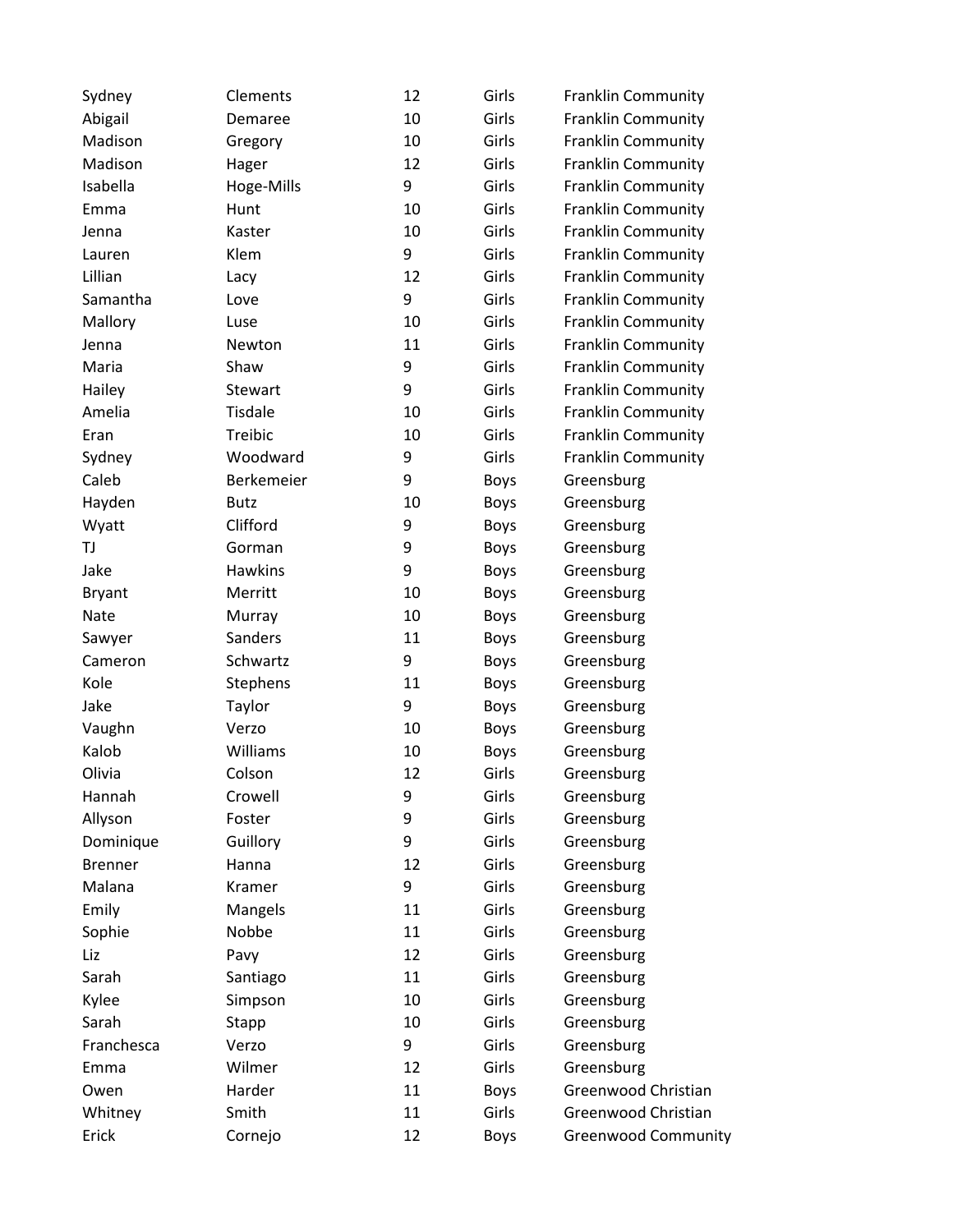| Sydney         | Clements    | 12 | Girls       | <b>Franklin Community</b>  |
|----------------|-------------|----|-------------|----------------------------|
| Abigail        | Demaree     | 10 | Girls       | Franklin Community         |
| Madison        | Gregory     | 10 | Girls       | <b>Franklin Community</b>  |
| Madison        | Hager       | 12 | Girls       | <b>Franklin Community</b>  |
| Isabella       | Hoge-Mills  | 9  | Girls       | <b>Franklin Community</b>  |
| Emma           | Hunt        | 10 | Girls       | <b>Franklin Community</b>  |
| Jenna          | Kaster      | 10 | Girls       | <b>Franklin Community</b>  |
| Lauren         | Klem        | 9  | Girls       | <b>Franklin Community</b>  |
| Lillian        | Lacy        | 12 | Girls       | <b>Franklin Community</b>  |
| Samantha       | Love        | 9  | Girls       | <b>Franklin Community</b>  |
| Mallory        | Luse        | 10 | Girls       | Franklin Community         |
| Jenna          | Newton      | 11 | Girls       | <b>Franklin Community</b>  |
| Maria          | Shaw        | 9  | Girls       | <b>Franklin Community</b>  |
| Hailey         | Stewart     | 9  | Girls       | <b>Franklin Community</b>  |
| Amelia         | Tisdale     | 10 | Girls       | <b>Franklin Community</b>  |
| Eran           | Treibic     | 10 | Girls       | <b>Franklin Community</b>  |
| Sydney         | Woodward    | 9  | Girls       | <b>Franklin Community</b>  |
| Caleb          | Berkemeier  | 9  | Boys        | Greensburg                 |
| Hayden         | <b>Butz</b> | 10 | <b>Boys</b> | Greensburg                 |
| Wyatt          | Clifford    | 9  | Boys        | Greensburg                 |
| TJ             | Gorman      | 9  | Boys        | Greensburg                 |
| Jake           | Hawkins     | 9  | Boys        | Greensburg                 |
| <b>Bryant</b>  | Merritt     | 10 | <b>Boys</b> | Greensburg                 |
| Nate           | Murray      | 10 | Boys        | Greensburg                 |
| Sawyer         | Sanders     | 11 | Boys        | Greensburg                 |
| Cameron        | Schwartz    | 9  | Boys        | Greensburg                 |
| Kole           | Stephens    | 11 | Boys        | Greensburg                 |
| Jake           | Taylor      | 9  | Boys        | Greensburg                 |
| Vaughn         | Verzo       | 10 | <b>Boys</b> | Greensburg                 |
| Kalob          | Williams    | 10 | <b>Boys</b> | Greensburg                 |
| Olivia         | Colson      | 12 | Girls       | Greensburg                 |
| Hannah         | Crowell     | 9  | Girls       | Greensburg                 |
| Allyson        | Foster      | 9  | Girls       | Greensburg                 |
| Dominique      | Guillory    | 9  | Girls       | Greensburg                 |
| <b>Brenner</b> | Hanna       | 12 | Girls       | Greensburg                 |
| Malana         | Kramer      | 9  | Girls       | Greensburg                 |
| Emily          | Mangels     | 11 | Girls       | Greensburg                 |
| Sophie         | Nobbe       | 11 | Girls       | Greensburg                 |
| Liz            | Pavy        | 12 | Girls       | Greensburg                 |
| Sarah          | Santiago    | 11 | Girls       | Greensburg                 |
| Kylee          | Simpson     | 10 | Girls       | Greensburg                 |
| Sarah          | Stapp       | 10 | Girls       | Greensburg                 |
| Franchesca     | Verzo       | 9  | Girls       | Greensburg                 |
| Emma           | Wilmer      | 12 | Girls       | Greensburg                 |
| Owen           | Harder      | 11 | Boys        | Greenwood Christian        |
| Whitney        | Smith       | 11 | Girls       | Greenwood Christian        |
| Erick          | Cornejo     | 12 | Boys        | <b>Greenwood Community</b> |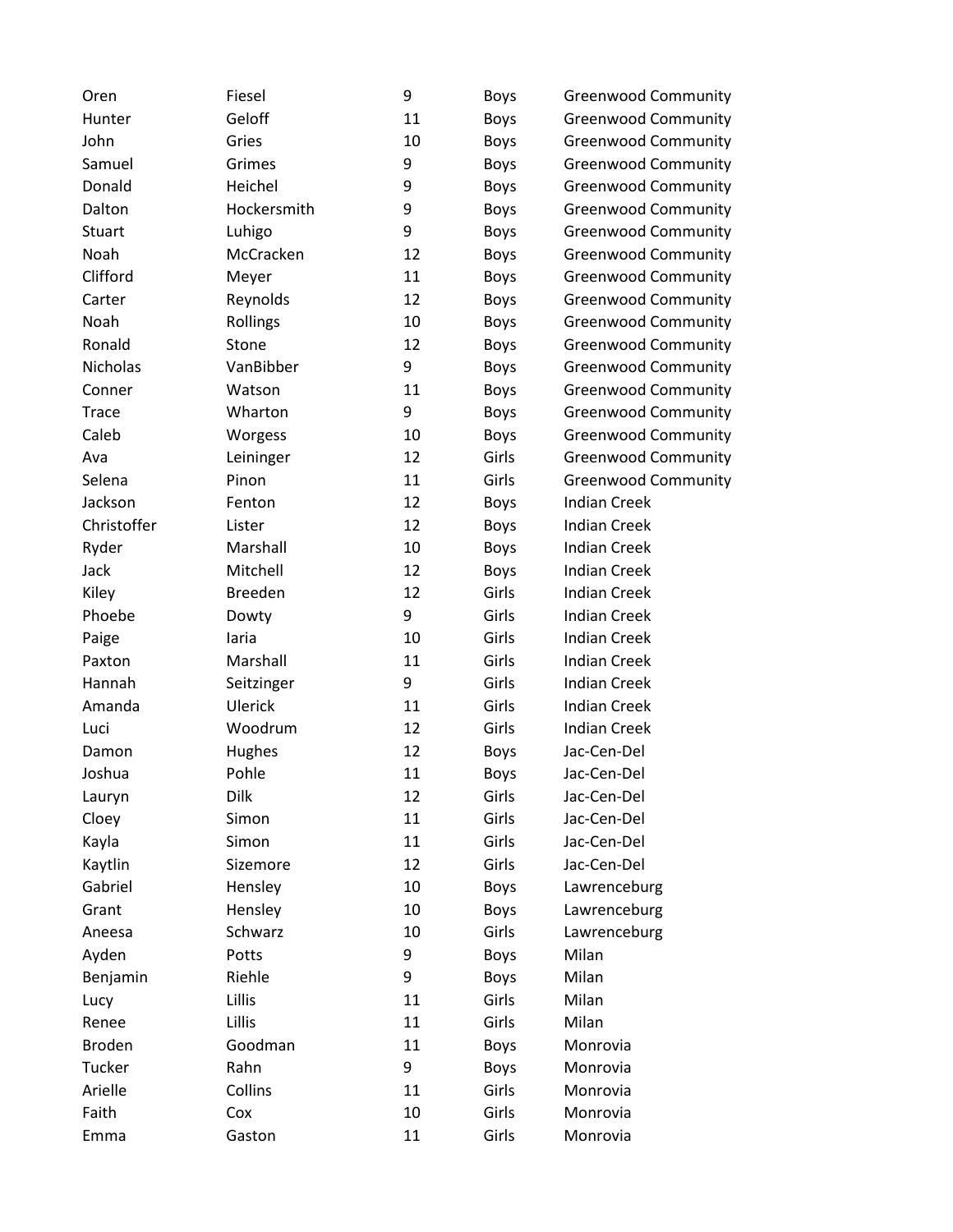| Oren          | Fiesel         | 9  | <b>Boys</b> | <b>Greenwood Community</b> |
|---------------|----------------|----|-------------|----------------------------|
| Hunter        | Geloff         | 11 | Boys        | <b>Greenwood Community</b> |
| John          | Gries          | 10 | Boys        | <b>Greenwood Community</b> |
| Samuel        | Grimes         | 9  | Boys        | <b>Greenwood Community</b> |
| Donald        | Heichel        | 9  | Boys        | <b>Greenwood Community</b> |
| Dalton        | Hockersmith    | 9  | Boys        | <b>Greenwood Community</b> |
| <b>Stuart</b> | Luhigo         | 9  | Boys        | <b>Greenwood Community</b> |
| Noah          | McCracken      | 12 | Boys        | <b>Greenwood Community</b> |
| Clifford      | Meyer          | 11 | Boys        | <b>Greenwood Community</b> |
| Carter        | Reynolds       | 12 | Boys        | <b>Greenwood Community</b> |
| Noah          | Rollings       | 10 | Boys        | <b>Greenwood Community</b> |
| Ronald        | Stone          | 12 | Boys        | <b>Greenwood Community</b> |
| Nicholas      | VanBibber      | 9  | <b>Boys</b> | <b>Greenwood Community</b> |
| Conner        | Watson         | 11 | Boys        | <b>Greenwood Community</b> |
| <b>Trace</b>  | Wharton        | 9  | Boys        | <b>Greenwood Community</b> |
| Caleb         | Worgess        | 10 | Boys        | <b>Greenwood Community</b> |
| Ava           | Leininger      | 12 | Girls       | <b>Greenwood Community</b> |
| Selena        | Pinon          | 11 | Girls       | <b>Greenwood Community</b> |
| Jackson       | Fenton         | 12 | Boys        | <b>Indian Creek</b>        |
| Christoffer   | Lister         | 12 | Boys        | <b>Indian Creek</b>        |
| Ryder         | Marshall       | 10 | Boys        | <b>Indian Creek</b>        |
| Jack          | Mitchell       | 12 | Boys        | <b>Indian Creek</b>        |
| Kiley         | <b>Breeden</b> | 12 | Girls       | <b>Indian Creek</b>        |
| Phoebe        | Dowty          | 9  | Girls       | <b>Indian Creek</b>        |
| Paige         | laria          | 10 | Girls       | <b>Indian Creek</b>        |
| Paxton        | Marshall       | 11 | Girls       | <b>Indian Creek</b>        |
| Hannah        | Seitzinger     | 9  | Girls       | <b>Indian Creek</b>        |
| Amanda        | Ulerick        | 11 | Girls       | <b>Indian Creek</b>        |
| Luci          | Woodrum        | 12 | Girls       | <b>Indian Creek</b>        |
| Damon         | Hughes         | 12 | Boys        | Jac-Cen-Del                |
| Joshua        | Pohle          | 11 | <b>Boys</b> | Jac-Cen-Del                |
| Lauryn        | Dilk           | 12 | Girls       | Jac-Cen-Del                |
| Cloey         | Simon          | 11 | Girls       | Jac-Cen-Del                |
| Kayla         | Simon          | 11 | Girls       | Jac-Cen-Del                |
| Kaytlin       | Sizemore       | 12 | Girls       | Jac-Cen-Del                |
| Gabriel       | Hensley        | 10 | Boys        | Lawrenceburg               |
| Grant         | Hensley        | 10 | Boys        | Lawrenceburg               |
| Aneesa        | Schwarz        | 10 | Girls       | Lawrenceburg               |
| Ayden         | Potts          | 9  | Boys        | Milan                      |
| Benjamin      | Riehle         | 9  | Boys        | Milan                      |
| Lucy          | Lillis         | 11 | Girls       | Milan                      |
| Renee         | Lillis         | 11 | Girls       | Milan                      |
| <b>Broden</b> | Goodman        | 11 | Boys        | Monrovia                   |
| Tucker        | Rahn           | 9  | <b>Boys</b> | Monrovia                   |
| Arielle       | Collins        | 11 | Girls       | Monrovia                   |
| Faith         | Cox            | 10 | Girls       | Monrovia                   |
| Emma          | Gaston         | 11 | Girls       | Monrovia                   |
|               |                |    |             |                            |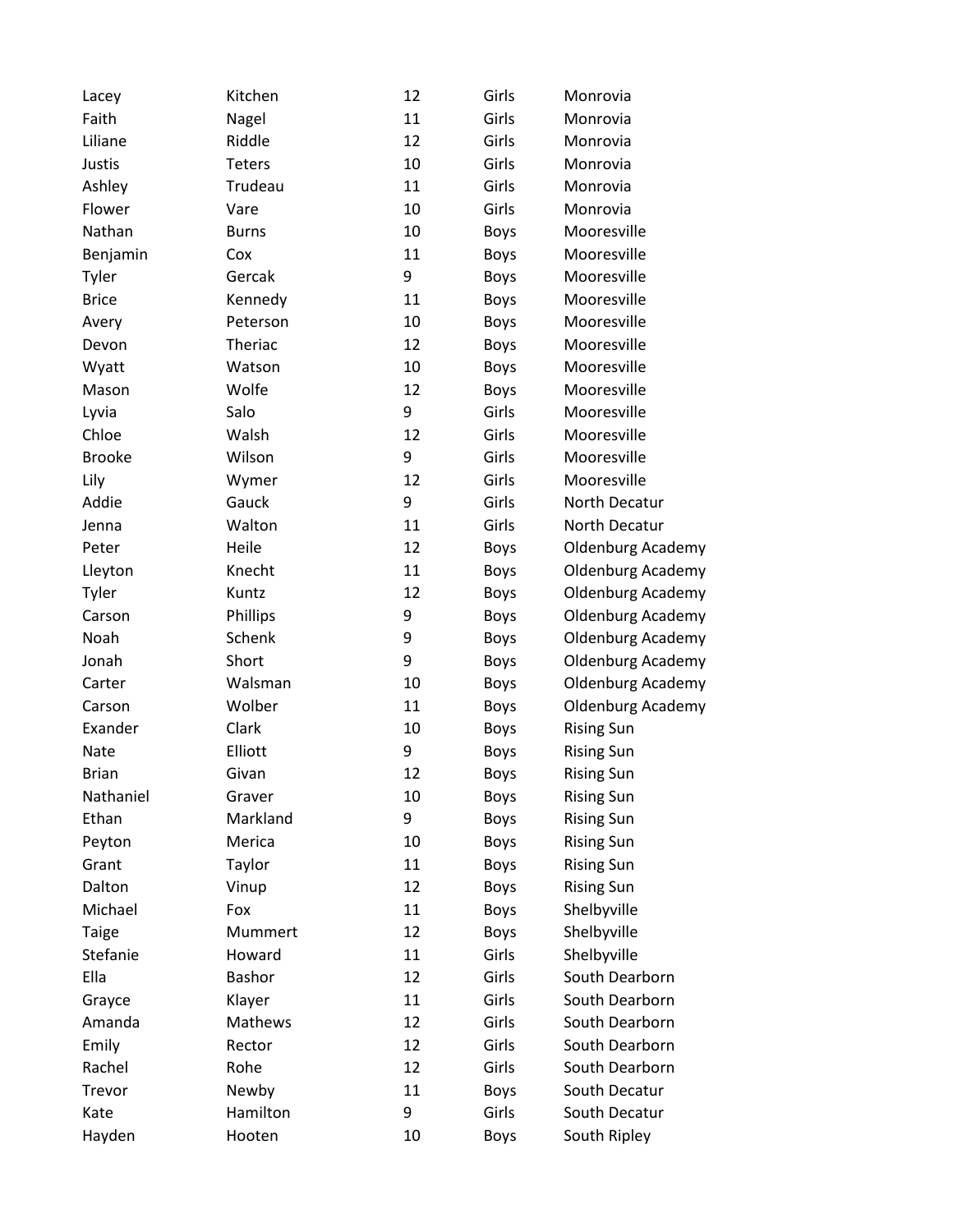| Lacey         | Kitchen       | 12 | Girls       | Monrovia                 |
|---------------|---------------|----|-------------|--------------------------|
| Faith         | Nagel         | 11 | Girls       | Monrovia                 |
| Liliane       | Riddle        | 12 | Girls       | Monrovia                 |
| Justis        | <b>Teters</b> | 10 | Girls       | Monrovia                 |
| Ashley        | Trudeau       | 11 | Girls       | Monrovia                 |
| Flower        | Vare          | 10 | Girls       | Monrovia                 |
| Nathan        | <b>Burns</b>  | 10 | <b>Boys</b> | Mooresville              |
| Benjamin      | Cox           | 11 | Boys        | Mooresville              |
| Tyler         | Gercak        | 9  | Boys        | Mooresville              |
| <b>Brice</b>  | Kennedy       | 11 | <b>Boys</b> | Mooresville              |
| Avery         | Peterson      | 10 | Boys        | Mooresville              |
| Devon         | Theriac       | 12 | Boys        | Mooresville              |
| Wyatt         | Watson        | 10 | Boys        | Mooresville              |
| Mason         | Wolfe         | 12 | <b>Boys</b> | Mooresville              |
| Lyvia         | Salo          | 9  | Girls       | Mooresville              |
| Chloe         | Walsh         | 12 | Girls       | Mooresville              |
| <b>Brooke</b> | Wilson        | 9  | Girls       | Mooresville              |
| Lily          | Wymer         | 12 | Girls       | Mooresville              |
| Addie         | Gauck         | 9  | Girls       | North Decatur            |
| Jenna         | Walton        | 11 | Girls       | North Decatur            |
| Peter         | Heile         | 12 | Boys        | <b>Oldenburg Academy</b> |
| Lleyton       | Knecht        | 11 | Boys        | <b>Oldenburg Academy</b> |
| Tyler         | Kuntz         | 12 | <b>Boys</b> | <b>Oldenburg Academy</b> |
| Carson        | Phillips      | 9  | <b>Boys</b> | Oldenburg Academy        |
| Noah          | Schenk        | 9  | <b>Boys</b> | <b>Oldenburg Academy</b> |
| Jonah         | Short         | 9  | <b>Boys</b> | <b>Oldenburg Academy</b> |
| Carter        | Walsman       | 10 | Boys        | Oldenburg Academy        |
| Carson        | Wolber        | 11 | <b>Boys</b> | Oldenburg Academy        |
| Exander       | Clark         | 10 | <b>Boys</b> | <b>Rising Sun</b>        |
| Nate          | Elliott       | 9  | <b>Boys</b> | <b>Rising Sun</b>        |
| <b>Brian</b>  | Givan         | 12 | <b>Boys</b> | <b>Rising Sun</b>        |
| Nathaniel     | Graver        | 10 | <b>Boys</b> | <b>Rising Sun</b>        |
| Ethan         | Markland      | 9  | <b>Boys</b> | <b>Rising Sun</b>        |
| Peyton        | Merica        | 10 | <b>Boys</b> | <b>Rising Sun</b>        |
| Grant         | Taylor        | 11 | Boys        | <b>Rising Sun</b>        |
| Dalton        | Vinup         | 12 | <b>Boys</b> | <b>Rising Sun</b>        |
| Michael       | Fox           | 11 | <b>Boys</b> | Shelbyville              |
| Taige         | Mummert       | 12 | <b>Boys</b> | Shelbyville              |
| Stefanie      | Howard        | 11 | Girls       | Shelbyville              |
| Ella          | Bashor        | 12 | Girls       | South Dearborn           |
| Grayce        | Klayer        | 11 | Girls       | South Dearborn           |
| Amanda        | Mathews       | 12 | Girls       | South Dearborn           |
| Emily         | Rector        | 12 | Girls       | South Dearborn           |
| Rachel        | Rohe          | 12 | Girls       | South Dearborn           |
| Trevor        | Newby         | 11 | <b>Boys</b> | South Decatur            |
| Kate          | Hamilton      | 9  | Girls       | South Decatur            |
| Hayden        | Hooten        | 10 | <b>Boys</b> | South Ripley             |